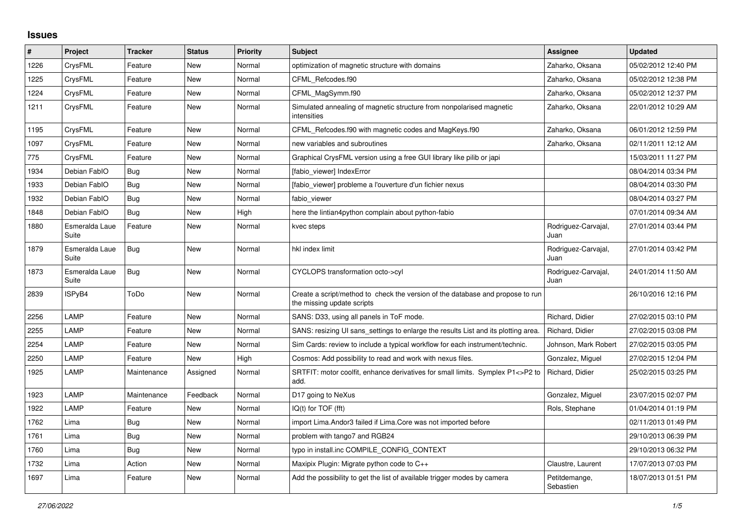## **Issues**

| $\sharp$ | <b>Project</b>          | <b>Tracker</b> | <b>Status</b> | <b>Priority</b> | <b>Subject</b>                                                                                               | Assignee                    | <b>Updated</b>      |
|----------|-------------------------|----------------|---------------|-----------------|--------------------------------------------------------------------------------------------------------------|-----------------------------|---------------------|
| 1226     | CrysFML                 | Feature        | New           | Normal          | optimization of magnetic structure with domains                                                              | Zaharko, Oksana             | 05/02/2012 12:40 PM |
| 1225     | CrysFML                 | Feature        | <b>New</b>    | Normal          | CFML Refcodes.f90                                                                                            | Zaharko, Oksana             | 05/02/2012 12:38 PM |
| 1224     | CrysFML                 | Feature        | New           | Normal          | CFML MagSymm.f90                                                                                             | Zaharko, Oksana             | 05/02/2012 12:37 PM |
| 1211     | CrysFML                 | Feature        | New           | Normal          | Simulated annealing of magnetic structure from nonpolarised magnetic<br>intensities                          | Zaharko, Oksana             | 22/01/2012 10:29 AM |
| 1195     | CrysFML                 | Feature        | New           | Normal          | CFML_Refcodes.f90 with magnetic codes and MagKeys.f90                                                        | Zaharko, Oksana             | 06/01/2012 12:59 PM |
| 1097     | CrysFML                 | Feature        | New           | Normal          | new variables and subroutines                                                                                | Zaharko, Oksana             | 02/11/2011 12:12 AM |
| 775      | CrysFML                 | Feature        | New           | Normal          | Graphical CrysFML version using a free GUI library like pilib or japi                                        |                             | 15/03/2011 11:27 PM |
| 1934     | Debian FablO            | Bug            | New           | Normal          | [fabio viewer] IndexError                                                                                    |                             | 08/04/2014 03:34 PM |
| 1933     | Debian FablO            | Bug            | New           | Normal          | [fabio viewer] probleme a l'ouverture d'un fichier nexus                                                     |                             | 08/04/2014 03:30 PM |
| 1932     | Debian FablO            | Bug            | New           | Normal          | fabio viewer                                                                                                 |                             | 08/04/2014 03:27 PM |
| 1848     | Debian FablO            | Bug            | New           | High            | here the lintian4python complain about python-fabio                                                          |                             | 07/01/2014 09:34 AM |
| 1880     | Esmeralda Laue<br>Suite | Feature        | New           | Normal          | kvec steps                                                                                                   | Rodriguez-Carvajal,<br>Juan | 27/01/2014 03:44 PM |
| 1879     | Esmeralda Laue<br>Suite | <b>Bug</b>     | New           | Normal          | hkl index limit                                                                                              | Rodriguez-Carvajal,<br>Juan | 27/01/2014 03:42 PM |
| 1873     | Esmeralda Laue<br>Suite | Bug            | New           | Normal          | CYCLOPS transformation octo->cyl                                                                             | Rodriguez-Carvajal,<br>Juan | 24/01/2014 11:50 AM |
| 2839     | ISPyB4                  | ToDo           | <b>New</b>    | Normal          | Create a script/method to check the version of the database and propose to run<br>the missing update scripts |                             | 26/10/2016 12:16 PM |
| 2256     | LAMP                    | Feature        | New           | Normal          | SANS: D33, using all panels in ToF mode.                                                                     | Richard, Didier             | 27/02/2015 03:10 PM |
| 2255     | LAMP                    | Feature        | New           | Normal          | SANS: resizing UI sans settings to enlarge the results List and its plotting area.                           | Richard, Didier             | 27/02/2015 03:08 PM |
| 2254     | LAMP                    | Feature        | New           | Normal          | Sim Cards: review to include a typical workflow for each instrument/technic.                                 | Johnson, Mark Robert        | 27/02/2015 03:05 PM |
| 2250     | LAMP                    | Feature        | New           | High            | Cosmos: Add possibility to read and work with nexus files.                                                   | Gonzalez, Miguel            | 27/02/2015 12:04 PM |
| 1925     | LAMP                    | Maintenance    | Assigned      | Normal          | SRTFIT: motor coolfit, enhance derivatives for small limits. Symplex P1<>P2 to<br>add.                       | Richard, Didier             | 25/02/2015 03:25 PM |
| 1923     | LAMP                    | Maintenance    | Feedback      | Normal          | D17 going to NeXus                                                                                           | Gonzalez, Miguel            | 23/07/2015 02:07 PM |
| 1922     | LAMP                    | Feature        | New           | Normal          | IQ(t) for TOF (fft)                                                                                          | Rols, Stephane              | 01/04/2014 01:19 PM |
| 1762     | Lima                    | Bug            | New           | Normal          | import Lima. Andor3 failed if Lima. Core was not imported before                                             |                             | 02/11/2013 01:49 PM |
| 1761     | Lima                    | <b>Bug</b>     | New           | Normal          | problem with tango7 and RGB24                                                                                |                             | 29/10/2013 06:39 PM |
| 1760     | Lima                    | Bug            | New           | Normal          | typo in install.inc COMPILE CONFIG CONTEXT                                                                   |                             | 29/10/2013 06:32 PM |
| 1732     | Lima                    | Action         | <b>New</b>    | Normal          | Maxipix Plugin: Migrate python code to C++                                                                   | Claustre, Laurent           | 17/07/2013 07:03 PM |
| 1697     | Lima                    | Feature        | New           | Normal          | Add the possibility to get the list of available trigger modes by camera                                     | Petitdemange,<br>Sebastien  | 18/07/2013 01:51 PM |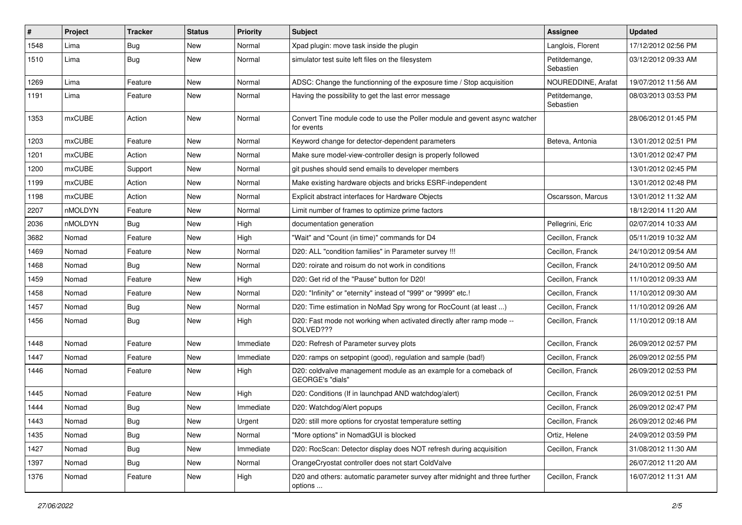| #    | Project | <b>Tracker</b> | <b>Status</b> | <b>Priority</b> | <b>Subject</b>                                                                           | Assignee                   | <b>Updated</b>      |
|------|---------|----------------|---------------|-----------------|------------------------------------------------------------------------------------------|----------------------------|---------------------|
| 1548 | Lima    | Bug            | New           | Normal          | Xpad plugin: move task inside the plugin                                                 | Langlois, Florent          | 17/12/2012 02:56 PM |
| 1510 | Lima    | <b>Bug</b>     | New           | Normal          | simulator test suite left files on the filesystem                                        | Petitdemange,<br>Sebastien | 03/12/2012 09:33 AM |
| 1269 | Lima    | Feature        | New           | Normal          | ADSC: Change the functionning of the exposure time / Stop acquisition                    | NOUREDDINE, Arafat         | 19/07/2012 11:56 AM |
| 1191 | Lima    | Feature        | New           | Normal          | Having the possibility to get the last error message                                     | Petitdemange,<br>Sebastien | 08/03/2013 03:53 PM |
| 1353 | mxCUBE  | Action         | New           | Normal          | Convert Tine module code to use the Poller module and gevent async watcher<br>for events |                            | 28/06/2012 01:45 PM |
| 1203 | mxCUBE  | Feature        | New           | Normal          | Keyword change for detector-dependent parameters                                         | Beteva, Antonia            | 13/01/2012 02:51 PM |
| 1201 | mxCUBE  | Action         | New           | Normal          | Make sure model-view-controller design is properly followed                              |                            | 13/01/2012 02:47 PM |
| 1200 | mxCUBE  | Support        | New           | Normal          | git pushes should send emails to developer members                                       |                            | 13/01/2012 02:45 PM |
| 1199 | mxCUBE  | Action         | New           | Normal          | Make existing hardware objects and bricks ESRF-independent                               |                            | 13/01/2012 02:48 PM |
| 1198 | mxCUBE  | Action         | New           | Normal          | Explicit abstract interfaces for Hardware Objects                                        | Oscarsson, Marcus          | 13/01/2012 11:32 AM |
| 2207 | nMOLDYN | Feature        | New           | Normal          | Limit number of frames to optimize prime factors                                         |                            | 18/12/2014 11:20 AM |
| 2036 | nMOLDYN | <b>Bug</b>     | New           | High            | documentation generation                                                                 | Pellegrini, Eric           | 02/07/2014 10:33 AM |
| 3682 | Nomad   | Feature        | New           | High            | "Wait" and "Count (in time)" commands for D4                                             | Cecillon, Franck           | 05/11/2019 10:32 AM |
| 1469 | Nomad   | Feature        | New           | Normal          | D20: ALL "condition families" in Parameter survey !!!                                    | Cecillon, Franck           | 24/10/2012 09:54 AM |
| 1468 | Nomad   | <b>Bug</b>     | New           | Normal          | D20: roirate and roisum do not work in conditions                                        | Cecillon, Franck           | 24/10/2012 09:50 AM |
| 1459 | Nomad   | Feature        | New           | High            | D20: Get rid of the "Pause" button for D20!                                              | Cecillon, Franck           | 11/10/2012 09:33 AM |
| 1458 | Nomad   | Feature        | New           | Normal          | D20: "Infinity" or "eternity" instead of "999" or "9999" etc.!                           | Cecillon, Franck           | 11/10/2012 09:30 AM |
| 1457 | Nomad   | Bug            | New           | Normal          | D20: Time estimation in NoMad Spy wrong for RocCount (at least )                         | Cecillon, Franck           | 11/10/2012 09:26 AM |
| 1456 | Nomad   | Bug            | New           | High            | D20: Fast mode not working when activated directly after ramp mode --<br>SOLVED???       | Cecillon, Franck           | 11/10/2012 09:18 AM |
| 1448 | Nomad   | Feature        | New           | Immediate       | D20: Refresh of Parameter survey plots                                                   | Cecillon, Franck           | 26/09/2012 02:57 PM |
| 1447 | Nomad   | Feature        | New           | Immediate       | D20: ramps on setpopint (good), regulation and sample (bad!)                             | Cecillon, Franck           | 26/09/2012 02:55 PM |
| 1446 | Nomad   | Feature        | New           | High            | D20: coldvalve management module as an example for a comeback of<br>GEORGE's "dials"     | Cecillon, Franck           | 26/09/2012 02:53 PM |
| 1445 | Nomad   | Feature        | <b>New</b>    | High            | D20: Conditions (If in launchpad AND watchdog/alert)                                     | Cecillon, Franck           | 26/09/2012 02:51 PM |
| 1444 | Nomad   | Bug            | New           | Immediate       | D20: Watchdog/Alert popups                                                               | Cecillon, Franck           | 26/09/2012 02:47 PM |
| 1443 | Nomad   | <b>Bug</b>     | New           | Urgent          | D20: still more options for cryostat temperature setting                                 | Cecillon, Franck           | 26/09/2012 02:46 PM |
| 1435 | Nomad   | <b>Bug</b>     | New           | Normal          | "More options" in NomadGUI is blocked                                                    | Ortiz, Helene              | 24/09/2012 03:59 PM |
| 1427 | Nomad   | <b>Bug</b>     | New           | Immediate       | D20: RocScan: Detector display does NOT refresh during acquisition                       | Cecillon, Franck           | 31/08/2012 11:30 AM |
| 1397 | Nomad   | <b>Bug</b>     | New           | Normal          | OrangeCryostat controller does not start ColdValve                                       |                            | 26/07/2012 11:20 AM |
| 1376 | Nomad   | Feature        | New           | High            | D20 and others: automatic parameter survey after midnight and three further<br>options   | Cecillon, Franck           | 16/07/2012 11:31 AM |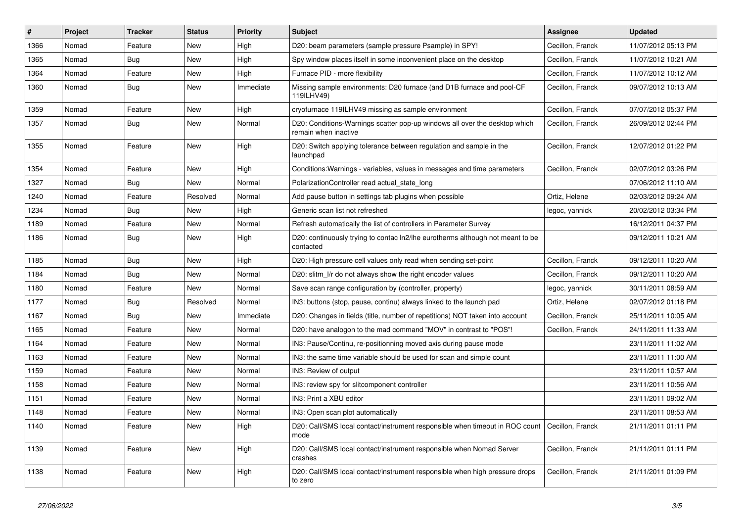| #    | Project | <b>Tracker</b> | <b>Status</b> | Priority  | <b>Subject</b>                                                                                          | <b>Assignee</b>  | <b>Updated</b>      |
|------|---------|----------------|---------------|-----------|---------------------------------------------------------------------------------------------------------|------------------|---------------------|
| 1366 | Nomad   | Feature        | New           | High      | D20: beam parameters (sample pressure Psample) in SPY!                                                  | Cecillon, Franck | 11/07/2012 05:13 PM |
| 1365 | Nomad   | <b>Bug</b>     | <b>New</b>    | High      | Spy window places itself in some inconvenient place on the desktop                                      | Cecillon, Franck | 11/07/2012 10:21 AM |
| 1364 | Nomad   | Feature        | New           | High      | Furnace PID - more flexibility                                                                          | Cecillon, Franck | 11/07/2012 10:12 AM |
| 1360 | Nomad   | <b>Bug</b>     | New           | Immediate | Missing sample environments: D20 furnace (and D1B furnace and pool-CF<br>119ILHV49)                     | Cecillon, Franck | 09/07/2012 10:13 AM |
| 1359 | Nomad   | Feature        | <b>New</b>    | High      | cryofurnace 119ILHV49 missing as sample environment                                                     | Cecillon, Franck | 07/07/2012 05:37 PM |
| 1357 | Nomad   | Bug            | New           | Normal    | D20: Conditions-Warnings scatter pop-up windows all over the desktop which<br>remain when inactive      | Cecillon, Franck | 26/09/2012 02:44 PM |
| 1355 | Nomad   | Feature        | New           | High      | D20: Switch applying tolerance between regulation and sample in the<br>launchpad                        | Cecillon, Franck | 12/07/2012 01:22 PM |
| 1354 | Nomad   | Feature        | New           | High      | Conditions: Warnings - variables, values in messages and time parameters                                | Cecillon, Franck | 02/07/2012 03:26 PM |
| 1327 | Nomad   | <b>Bug</b>     | New           | Normal    | PolarizationController read actual_state_long                                                           |                  | 07/06/2012 11:10 AM |
| 1240 | Nomad   | Feature        | Resolved      | Normal    | Add pause button in settings tab plugins when possible                                                  | Ortiz, Helene    | 02/03/2012 09:24 AM |
| 1234 | Nomad   | <b>Bug</b>     | New           | High      | Generic scan list not refreshed                                                                         | legoc, yannick   | 20/02/2012 03:34 PM |
| 1189 | Nomad   | Feature        | New           | Normal    | Refresh automatically the list of controllers in Parameter Survey                                       |                  | 16/12/2011 04:37 PM |
| 1186 | Nomad   | Bug            | New           | High      | D20: continuously trying to contac ln2/lhe eurotherms although not meant to be<br>contacted             |                  | 09/12/2011 10:21 AM |
| 1185 | Nomad   | Bug            | <b>New</b>    | High      | D20: High pressure cell values only read when sending set-point                                         | Cecillon, Franck | 09/12/2011 10:20 AM |
| 1184 | Nomad   | <b>Bug</b>     | New           | Normal    | D20: slitm I/r do not always show the right encoder values                                              | Cecillon, Franck | 09/12/2011 10:20 AM |
| 1180 | Nomad   | Feature        | New           | Normal    | Save scan range configuration by (controller, property)                                                 | legoc, yannick   | 30/11/2011 08:59 AM |
| 1177 | Nomad   | Bug            | Resolved      | Normal    | IN3: buttons (stop, pause, continu) always linked to the launch pad                                     | Ortiz, Helene    | 02/07/2012 01:18 PM |
| 1167 | Nomad   | <b>Bug</b>     | New           | Immediate | D20: Changes in fields (title, number of repetitions) NOT taken into account                            | Cecillon, Franck | 25/11/2011 10:05 AM |
| 1165 | Nomad   | Feature        | New           | Normal    | D20: have analogon to the mad command "MOV" in contrast to "POS"!                                       | Cecillon, Franck | 24/11/2011 11:33 AM |
| 1164 | Nomad   | Feature        | New           | Normal    | IN3: Pause/Continu, re-positionning moved axis during pause mode                                        |                  | 23/11/2011 11:02 AM |
| 1163 | Nomad   | Feature        | New           | Normal    | IN3: the same time variable should be used for scan and simple count                                    |                  | 23/11/2011 11:00 AM |
| 1159 | Nomad   | Feature        | New           | Normal    | IN3: Review of output                                                                                   |                  | 23/11/2011 10:57 AM |
| 1158 | Nomad   | Feature        | New           | Normal    | IN3: review spy for slitcomponent controller                                                            |                  | 23/11/2011 10:56 AM |
| 1151 | Nomad   | Feature        | New           | Normal    | IN3: Print a XBU editor                                                                                 |                  | 23/11/2011 09:02 AM |
| 1148 | Nomad   | Feature        | New           | Normal    | IN3: Open scan plot automatically                                                                       |                  | 23/11/2011 08:53 AM |
| 1140 | Nomad   | Feature        | New           | High      | D20: Call/SMS local contact/instrument responsible when timeout in ROC count   Cecillon, Franck<br>mode |                  | 21/11/2011 01:11 PM |
| 1139 | Nomad   | Feature        | New           | High      | D20: Call/SMS local contact/instrument responsible when Nomad Server<br>crashes                         | Cecillon, Franck | 21/11/2011 01:11 PM |
| 1138 | Nomad   | Feature        | New           | High      | D20: Call/SMS local contact/instrument responsible when high pressure drops<br>to zero                  | Cecillon, Franck | 21/11/2011 01:09 PM |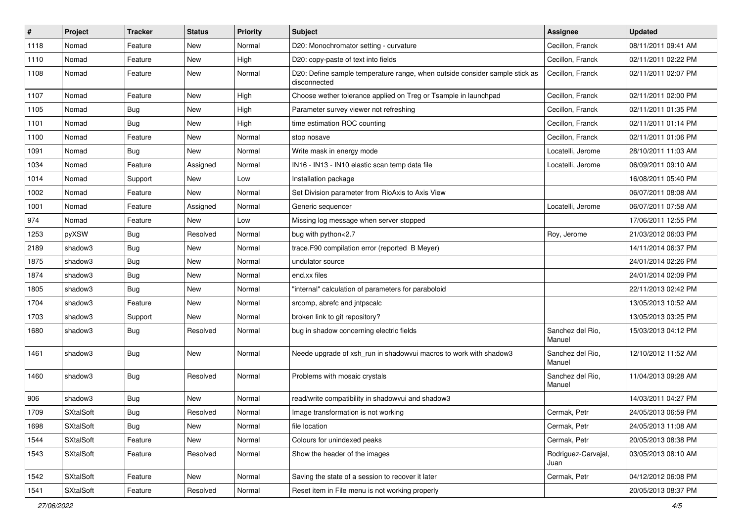| #    | Project          | <b>Tracker</b> | <b>Status</b> | <b>Priority</b> | <b>Subject</b>                                                                              | <b>Assignee</b>             | <b>Updated</b>      |
|------|------------------|----------------|---------------|-----------------|---------------------------------------------------------------------------------------------|-----------------------------|---------------------|
| 1118 | Nomad            | Feature        | New           | Normal          | D20: Monochromator setting - curvature                                                      | Cecillon, Franck            | 08/11/2011 09:41 AM |
| 1110 | Nomad            | Feature        | <b>New</b>    | High            | D20: copy-paste of text into fields                                                         | Cecillon, Franck            | 02/11/2011 02:22 PM |
| 1108 | Nomad            | Feature        | New           | Normal          | D20: Define sample temperature range, when outside consider sample stick as<br>disconnected | Cecillon, Franck            | 02/11/2011 02:07 PM |
| 1107 | Nomad            | Feature        | New           | High            | Choose wether tolerance applied on Treg or Tsample in launchpad                             | Cecillon, Franck            | 02/11/2011 02:00 PM |
| 1105 | Nomad            | <b>Bug</b>     | New           | High            | Parameter survey viewer not refreshing                                                      | Cecillon, Franck            | 02/11/2011 01:35 PM |
| 1101 | Nomad            | <b>Bug</b>     | New           | High            | time estimation ROC counting                                                                | Cecillon, Franck            | 02/11/2011 01:14 PM |
| 1100 | Nomad            | Feature        | New           | Normal          | stop nosave                                                                                 | Cecillon, Franck            | 02/11/2011 01:06 PM |
| 1091 | Nomad            | <b>Bug</b>     | New           | Normal          | Write mask in energy mode                                                                   | Locatelli, Jerome           | 28/10/2011 11:03 AM |
| 1034 | Nomad            | Feature        | Assigned      | Normal          | IN16 - IN13 - IN10 elastic scan temp data file                                              | Locatelli, Jerome           | 06/09/2011 09:10 AM |
| 1014 | Nomad            | Support        | New           | Low             | Installation package                                                                        |                             | 16/08/2011 05:40 PM |
| 1002 | Nomad            | Feature        | New           | Normal          | Set Division parameter from RioAxis to Axis View                                            |                             | 06/07/2011 08:08 AM |
| 1001 | Nomad            | Feature        | Assigned      | Normal          | Generic sequencer                                                                           | Locatelli, Jerome           | 06/07/2011 07:58 AM |
| 974  | Nomad            | Feature        | New           | Low             | Missing log message when server stopped                                                     |                             | 17/06/2011 12:55 PM |
| 1253 | pyXSW            | <b>Bug</b>     | Resolved      | Normal          | bug with python<2.7                                                                         | Roy, Jerome                 | 21/03/2012 06:03 PM |
| 2189 | shadow3          | <b>Bug</b>     | New           | Normal          | trace.F90 compilation error (reported B Meyer)                                              |                             | 14/11/2014 06:37 PM |
| 1875 | shadow3          | <b>Bug</b>     | New           | Normal          | undulator source                                                                            |                             | 24/01/2014 02:26 PM |
| 1874 | shadow3          | <b>Bug</b>     | New           | Normal          | end.xx files                                                                                |                             | 24/01/2014 02:09 PM |
| 1805 | shadow3          | Bug            | New           | Normal          | "internal" calculation of parameters for paraboloid                                         |                             | 22/11/2013 02:42 PM |
| 1704 | shadow3          | Feature        | <b>New</b>    | Normal          | srcomp, abrefc and jntpscalc                                                                |                             | 13/05/2013 10:52 AM |
| 1703 | shadow3          | Support        | New           | Normal          | broken link to git repository?                                                              |                             | 13/05/2013 03:25 PM |
| 1680 | shadow3          | <b>Bug</b>     | Resolved      | Normal          | bug in shadow concerning electric fields                                                    | Sanchez del Rio,<br>Manuel  | 15/03/2013 04:12 PM |
| 1461 | shadow3          | <b>Bug</b>     | New           | Normal          | Neede upgrade of xsh run in shadowvui macros to work with shadow3                           | Sanchez del Rio.<br>Manuel  | 12/10/2012 11:52 AM |
| 1460 | shadow3          | <b>Bug</b>     | Resolved      | Normal          | Problems with mosaic crystals                                                               | Sanchez del Rio.<br>Manuel  | 11/04/2013 09:28 AM |
| 906  | shadow3          | Bug            | New           | Normal          | read/write compatibility in shadowvui and shadow3                                           |                             | 14/03/2011 04:27 PM |
| 1709 | <b>SXtalSoft</b> | <b>Bug</b>     | Resolved      | Normal          | Image transformation is not working                                                         | Cermak, Petr                | 24/05/2013 06:59 PM |
| 1698 | <b>SXtalSoft</b> | <b>Bug</b>     | New           | Normal          | file location                                                                               | Cermak, Petr                | 24/05/2013 11:08 AM |
| 1544 | SXtalSoft        | Feature        | New           | Normal          | Colours for unindexed peaks                                                                 | Cermak, Petr                | 20/05/2013 08:38 PM |
| 1543 | <b>SXtalSoft</b> | Feature        | Resolved      | Normal          | Show the header of the images                                                               | Rodriguez-Carvajal,<br>Juan | 03/05/2013 08:10 AM |
| 1542 | SXtalSoft        | Feature        | <b>New</b>    | Normal          | Saving the state of a session to recover it later                                           | Cermak, Petr                | 04/12/2012 06:08 PM |
| 1541 | <b>SXtalSoft</b> | Feature        | Resolved      | Normal          | Reset item in File menu is not working properly                                             |                             | 20/05/2013 08:37 PM |